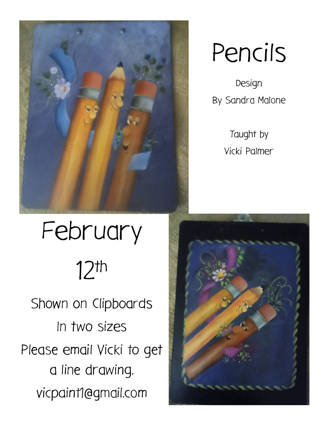

# Pencils

Design By Sandra Malone

> Taught by Vicki Palmer

## February 12th Shown on Clipboards In two sizes Please email Vicki to get a line drawing. vicpaint1@gmail.com